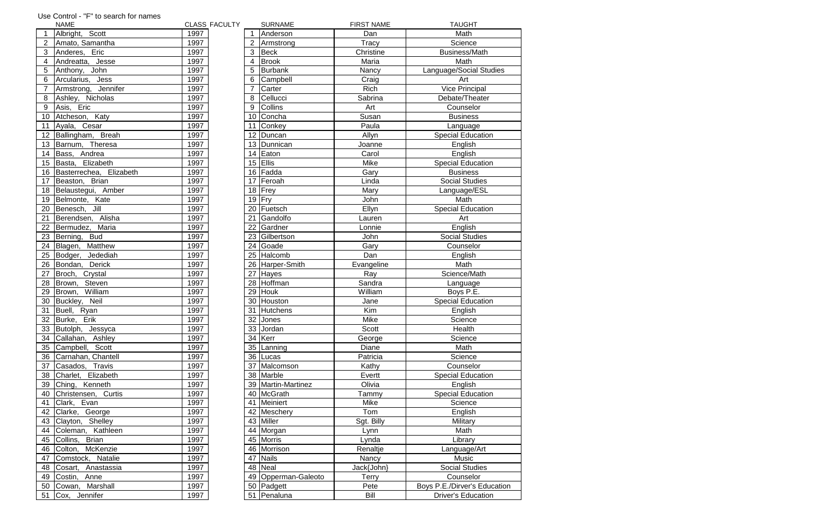|                  | <b>NAME</b>                |      | <b>CLASS FACULTY</b> |                 | <b>SURNAME</b>        | <b>FIRST NAME</b> | <b>TAUGHT</b>                |
|------------------|----------------------------|------|----------------------|-----------------|-----------------------|-------------------|------------------------------|
| $\mathbf{1}$     | Albright, Scott            | 1997 |                      |                 | Anderson              | Dan               | Math                         |
|                  | Amato, Samantha            | 1997 |                      | $\overline{2}$  | Armstrong             | Tracy             | Science                      |
| $\mathbf{3}$     | Anderes, Eric              | 1997 |                      | 3               | Beck                  | Christine         | <b>Business/Math</b>         |
| $\overline{4}$   | Andreatta, Jesse           | 1997 |                      | $\overline{4}$  | <b>Brook</b>          | Maria             | Math                         |
| $\overline{5}$   | Anthony, John              | 1997 |                      | 5               | Burbank               | Nancy             | Language/Social Studies      |
| $6\phantom{1}6$  | Arcularius,<br><b>Jess</b> | 1997 |                      | 6               | Campbell              | Craig             | Art                          |
| $\overline{7}$   | Jennifer<br>Armstrong,     | 1997 |                      | $\overline{7}$  | Carter                | <b>Rich</b>       | <b>Vice Principal</b>        |
| $\, 8$           | Ashley, Nicholas           | 1997 |                      | 8               | Cellucci              | Sabrina           | Debate/Theater               |
| $\boldsymbol{9}$ | Asis, Eric                 | 1997 |                      | 9               | <b>Collins</b>        | Art               | Counselor                    |
| 10 <sup>°</sup>  | Atcheson, Katy             | 1997 |                      | 10 <sup>°</sup> | Concha                | Susan             | <b>Business</b>              |
|                  | 11 Ayala, Cesar            | 1997 |                      | 11              | Conkey                | Paula             | Language                     |
|                  | 12 Ballingham, Breah       | 1997 |                      |                 | 12 Duncan             | Allyn             | <b>Special Education</b>     |
| 13               | Barnum, Theresa            | 1997 |                      | 13 <sup>°</sup> | Dunnican              | Joanne            | English                      |
| 14               | Bass, Andrea               | 1997 |                      |                 | 14 Eaton              | Carol             | English                      |
|                  | 15 Basta, Elizabeth        | 1997 |                      |                 | 15 $ E  $             | Mike              | <b>Special Education</b>     |
|                  | 16 Basterrechea, Elizabeth | 1997 |                      |                 | 16 Fadda              | Gary              | <b>Business</b>              |
|                  | 17 Beaston, Brian          | 1997 |                      |                 | 17 Feroah             | Linda             | <b>Social Studies</b>        |
|                  | 18 Belaustegui, Amber      | 1997 |                      |                 | 18 Frey               | Mary              | Language/ESL                 |
| 19               | Belmonte, Kate             | 1997 |                      |                 | 19 $I$ Fry            | John              | Math                         |
| 20               | Benesch, Jill              | 1997 |                      |                 | 20 Fuetsch            | Ellyn             | <b>Special Education</b>     |
| $\overline{21}$  | Berendsen, Alisha          | 1997 |                      |                 | 21 Gandolfo           | Lauren            | Art                          |
| 22               | Bermudez, Maria            | 1997 |                      |                 | 22 Gardner            | Lonnie            | English                      |
| 23               | <b>Bud</b><br>Berning,     | 1997 |                      |                 | 23 Gilbertson         | John              | <b>Social Studies</b>        |
| 24               | <b>Matthew</b><br>Blagen,  | 1997 |                      |                 | 24 Goade              | Gary              | Counselor                    |
| 25               | Jedediah<br>Bodger,        | 1997 |                      |                 | 25 Halcomb            | Dan               | English                      |
| 26               | Bondan, Derick             | 1997 |                      |                 | 26 Harper-Smith       | Evangeline        | Math                         |
| $\overline{27}$  | Broch,<br>Crystal          | 1997 |                      |                 | $\overline{27}$ Hayes | Ray               | Science/Math                 |
| 28               | Brown,<br>Steven           | 1997 |                      |                 | 28 Hoffman            | Sandra            |                              |
| 29               | William                    | 1997 |                      | 29              | Houk                  | William           | Language<br>Boys P.E.        |
| 30               | Brown,<br>Buckley, Neil    | 1997 |                      |                 | 30 Houston            | Jane              | <b>Special Education</b>     |
| 31               | Buell, Ryan                | 1997 |                      |                 | 31 Hutchens           | Kim               |                              |
|                  | 32 Burke,<br>Erik          | 1997 |                      |                 | 32 Jones              | Mike              | English<br>Science           |
|                  |                            | 1997 |                      |                 |                       |                   | Health                       |
|                  | 33 Butolph, Jessyca        |      |                      |                 | 33 Jordan<br>34 Kerr  | Scott             |                              |
| 34               | Callahan, Ashley           | 1997 |                      |                 |                       | George            | Science                      |
| 35               | Campbell, Scott            | 1997 |                      |                 | 35   Lanning          | Diane             | Math                         |
| 36               | Carnahan, Chantell         | 1997 |                      |                 | 36 Lucas              | Patricia          | Science                      |
| $\overline{37}$  | Casados, Travis            | 1997 |                      |                 | 37 Malcomson          | Kathy             | Counselor                    |
| 38               | Elizabeth<br>Charlet,      | 1997 |                      |                 | 38 Marble             | Evertt            | <b>Special Education</b>     |
| 39               | Kenneth<br>Ching,          | 1997 |                      |                 | 39   Martin-Martinez  | Olivia            | English                      |
| 40               | Christensen, Curtis        | 1997 |                      |                 | 40 McGrath            | Tammy             | <b>Special Education</b>     |
| 41               | Clark, Evan                | 1997 |                      |                 | 41 Meiniert           | Mike              | Science                      |
| 42               | Clarke,<br>George          | 1997 |                      |                 | 42 Meschery           | Tom               | English                      |
| 43               | Clayton, Shelley           | 1997 |                      |                 | 43 Miller             | Sgt. Billy        | Military                     |
| 44               | Kathleen<br>Coleman,       | 1997 |                      |                 | 44 Morgan             | Lynn              | Math                         |
| 45               | Collins, Brian             | 1997 |                      |                 | 45 Morris             | Lynda             | Library                      |
| 46               | Colton, McKenzie           | 1997 |                      |                 | 46 Morrison           | Renaltje          | Language/Art                 |
| 47               | Comstock, Natalie          | 1997 |                      |                 | 47 Nails              | Nancy             | Music                        |
| 48               | Cosart, Anastassia         | 1997 |                      |                 | 48 Neal               | Jack{John}        | <b>Social Studies</b>        |
| 49               | Costin,<br>Anne            | 1997 |                      |                 | 49 Opperman-Galeoto   | Terry             | Counselor                    |
| 50               | Cowan, Marshall            | 1997 |                      |                 | 50 Padgett            | Pete              | Boys P.E./Dirver's Education |
| 51               | Cox, Jennifer              | 1997 |                      |                 | 51 Penaluna           | <b>Bill</b>       | <b>Driver's Education</b>    |
|                  |                            |      |                      |                 |                       |                   |                              |

## Use Control - "F" to search for names

|                 | INAIVIE                          | ULAJJ F      |
|-----------------|----------------------------------|--------------|
| 1               | Albright, Scott                  | 1997         |
| $\overline{2}$  | Amato, Samantha                  | 1997         |
| $\overline{3}$  | Anderes, Eric                    | 1997         |
| $\overline{4}$  | Andreatta, Jesse                 | 1997         |
| $\overline{5}$  | Anthony, John                    | 1997         |
| 6               | Arcularius, Jess                 | 1997         |
| $\overline{7}$  | Armstrong, Jennifer              | 1997         |
| 8               | Ashley, Nicholas                 | 1997         |
| 9               | Asis, Eric                       | 1997         |
| 10              | Atcheson, Katy                   | 1997         |
| 11              | Ayala, Cesar                     | 1997         |
|                 | 12 Ballingham, Breah             | 1997         |
| 13              | Barnum, Theresa                  | 1997         |
|                 | 14 Bass, Andrea                  | 1997         |
|                 | 15 Basta, Elizabeth              | 1997         |
| 16              | Basterrechea, Elizabeth          | 1997         |
| 17              | Beaston, Brian                   | 1997         |
|                 | 18 Belaustegui, Amber            | 1997         |
|                 | 19 Belmonte, Kate                | 1997         |
| 20 <sub>1</sub> | Benesch, Jill                    | 1997         |
|                 | 21 Berendsen, Alisha             | 1997         |
|                 | 22 Bermudez, Maria               | 1997         |
| 23              | Berning, Bud                     | 1997         |
|                 | 24 Blagen, Matthew               | 1997         |
|                 | 25 Bodger, Jedediah              | 1997         |
| 26              | Bondan, Derick                   | 1997         |
| 27              | Broch, Crystal                   | 1997         |
| 28              | Brown, Steven                    | 1997         |
| 29              | Brown, William                   | 1997         |
| 30 <sup>1</sup> | Buckley, Neil                    | 1997         |
|                 | 31   Buell, Ryan                 | 1997         |
|                 | 32 Burke, Erik                   | 1997         |
| 33              | Butolph, Jessyca                 | 1997         |
| 34              | Callahan, Ashley                 | 1997         |
|                 | 35 Campbell, Scott               | 1997         |
| 36              | Carnahan, Chantell               | 1997         |
| 37              | Casados, Travis                  | 1997         |
| 38              | Charlet, Elizabeth               | 1997         |
| 39              | Ching, Kenneth                   | 1997         |
| 40              |                                  |              |
| 41              | Christensen, Curtis              | 1997         |
|                 | Clark, Evan<br>42 Clarke, George | 1997<br>1997 |
| 43              | Clayton, Shelley                 | 1997         |
| 44              |                                  | 1997         |
|                 | Coleman, Kathleen                |              |
| 45              | Collins, Brian                   | 1997         |
| 46              | Colton, McKenzie                 | 1997         |
| 47              | Comstock, Natalie                | 1997         |
| 48              | Cosart, Anastassia               | 1997         |
|                 | 49 Costin, Anne                  | 1997         |
| 50              | Cowan, Marshall                  | 1997         |
| 51              | ICox. Jennifer                   | 1997         |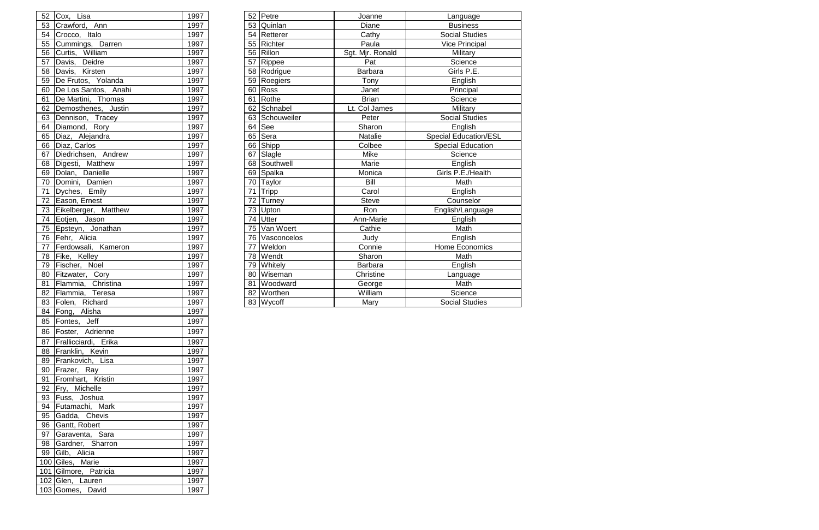|    | 52 Cox, Lisa             | 1997 |    | 52 Petre        | Joanne           | Language                     |
|----|--------------------------|------|----|-----------------|------------------|------------------------------|
|    | 53 Crawford, Ann         | 1997 | 53 | Quinlan         | Diane            | <b>Business</b>              |
|    | 54 Crocco, Italo         | 1997 | 54 | Retterer        | Cathy            | <b>Social Studies</b>        |
| 55 | Cummings, Darren         | 1997 | 55 | Richter         | Paula            | <b>Vice Principal</b>        |
| 56 | Curtis, William          | 1997 | 56 | Rillon          | Sgt. Mjr. Ronald | Military                     |
| 57 | Davis, Deidre            | 1997 | 57 | Rippee          | Pat              | Science                      |
|    | 58 Davis, Kirsten        | 1997 |    | 58   Rodrigue   | <b>Barbara</b>   | Girls P.E.                   |
|    | 59 De Frutos, Yolanda    | 1997 | 59 | Roegiers        | Tony             | English                      |
|    | 60 De Los Santos, Anahi  | 1997 | 60 | Ross            | Janet            | Principal                    |
|    | 61 De Martini, Thomas    | 1997 | 61 | Rothe           | <b>Brian</b>     | Science                      |
|    | 62 Demosthenes, Justin   | 1997 | 62 | Schnabel        | Lt. Col James    | Military                     |
| 63 | Dennison, Tracey         | 1997 | 63 | Schouweiler     | Peter            | <b>Social Studies</b>        |
| 64 | Diamond, Rory            | 1997 | 64 | <b>See</b>      | Sharon           | English                      |
| 65 | Diaz, Alejandra          | 1997 | 65 | Sera            | Natalie          | <b>Special Education/ESL</b> |
|    | 66 Diaz, Carlos          | 1997 | 66 | Shipp           | Colbee           | <b>Special Education</b>     |
| 67 | Diedrichsen, Andrew      | 1997 | 67 | Slagle          | Mike             | Science                      |
|    | 68 Digesti, Matthew      | 1997 | 68 | Southwell       | Marie            | English                      |
|    | 69 Dolan, Danielle       | 1997 | 69 | Spalka          | Monica           | Girls P.E./Health            |
|    | 70 Domini, Damien        | 1997 |    | 70 Taylor       | Bill             | Math                         |
|    | 71 Dyches, Emily         | 1997 | 71 | Tripp           | Carol            | English                      |
|    | 72 Eason, Ernest         | 1997 | 72 | <b>Turney</b>   | <b>Steve</b>     | Counselor                    |
|    | 73 Eikelberger, Matthew  | 1997 | 73 | Upton           | Ron              | English/Language             |
|    | 74 Eotjen, Jason         | 1997 | 74 | Utter           | Ann-Marie        | English                      |
|    | 75 Epsteyn, Jonathan     | 1997 | 75 | Van Woert       | Cathie           | Math                         |
|    | 76 Fehr, Alicia          | 1997 |    | 76 Vasconcelos  | Judy             | English                      |
|    | 77 Ferdowsali, Kameron   | 1997 | 77 | Weldon          | Connie           | <b>Home Economics</b>        |
|    | 78 Fike, Kelley          | 1997 | 78 | Wendt           | Sharon           | Math                         |
| 79 | Fischer, Noel            | 1997 | 79 | <b>Whitely</b>  | <b>Barbara</b>   | English                      |
|    | 80 Fitzwater, Cory       | 1997 | 80 | Wiseman         | Christine        | Language                     |
|    | 81 Flammia,<br>Christina | 1997 | 81 | <b>Woodward</b> | George           | Math                         |
|    | 82 Flammia,<br>Teresa    | 1997 |    | 82 Worthen      | William          | Science                      |
|    | 83 Folen, Richard        | 1997 |    | 83 Wycoff       | Mary             | <b>Social Studies</b>        |

|    | 52 Cox, Lisa                    | 1997        |
|----|---------------------------------|-------------|
|    | 53 Crawford, Ann                | 1997        |
|    | 54 Crocco, Italo                | 1997        |
|    | 55 Cummings, Darren             | 1997        |
|    | 56 Curtis, William              | 1997        |
| 57 |                                 | 1997        |
| 58 | Davis, Deidre<br>Davis, Kirsten | 1997        |
| 59 | De Frutos, Yolanda              | 1997        |
|    | 60   De Los Santos, Anahi       | 1997        |
| 61 | De Martini, Thomas              | 1997        |
| 62 | Demosthenes, Justin             | 1997        |
| 63 | Dennison, Tracey                | 1997        |
| 64 | Diamond, Rory                   | 1997        |
| 65 | Diaz, Alejandra                 | 1997        |
|    | 66 Diaz, Carlos                 | 1997        |
| 67 | Diedrichsen, Andrew             | 1997        |
| 68 | Digesti, Matthew                | 1997        |
| 69 | Dolan, Danielle                 | 1997        |
| 70 | Domini, Damien                  | 1997        |
| 71 | Dyches, Emily                   | 1997        |
| 72 | Eason, Ernest                   | 1997        |
|    | 73 Eikelberger, Matthew         | 1997        |
|    | 74 Eotjen, Jason                | 1997        |
| 75 | Epsteyn, Jonathan               | 1997        |
|    | 76 Fehr, Alicia                 | 1997        |
| 77 | Ferdowsali, Kameron             | 1997        |
| 78 | Fike, Kelley                    | 1997        |
| 79 | Fischer, Noel                   | 1997        |
|    | 80 Fitzwater, Cory              | 1997        |
| 81 | Flammia, Christina              | 1997        |
|    | 82 Flammia, Teresa              | 1997        |
| 83 | Folen, Richard                  | 1997        |
| 84 | Fong, Alisha                    | <u>1997</u> |
| 85 | Fontes, Jeff                    | 1997        |
| 86 | Foster, Adrienne                | 1997        |
|    |                                 |             |
|    | 87 Frallicciardi, Erika         | 1997        |
|    | 88 Franklin, Kevin              | 1997        |
| 89 | Frankovich, Lisa                | 1997        |
|    | 90   Frazer, Ray                | 1997        |
| 91 | Fromhart, Kristin               | 1997        |
| 92 | Fry, Michelle                   | 1997        |
| 93 | Fuss, Joshua                    | 1997        |
|    | 94 Futamachi, Mark              | 1997        |
|    | 95 Gadda, Chevis                | 1997        |
| 96 | Gantt, Robert                   | 1997        |
|    | 97 Garaventa, Sara              | 1997        |
| 98 | Gardner, Sharron                | 1997        |
| 99 | Gilb, Alicia                    | 1997        |
|    | 100 Giles, Marie                | 1997        |
|    | 101 Gilmore, Patricia           | 1997        |
|    | 102 Glen, Lauren                | 1997        |
|    | 103 Gomes, David                | 1997        |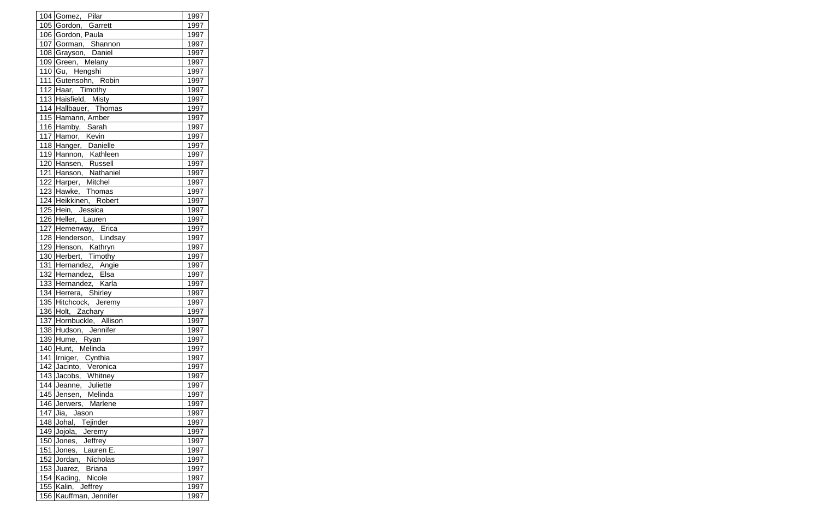| 104 Gomez, Pilar        | 1997 |
|-------------------------|------|
| 105 Gordon, Garrett     | 1997 |
| 106 Gordon, Paula       | 1997 |
| 107 Gorman, Shannon     | 1997 |
| 108 Grayson, Daniel     | 1997 |
| 109 Green, Melany       | 1997 |
| 110 Gu, Hengshi         | 1997 |
| 111 Gutensohn, Robin    | 1997 |
| 112 Haar, Timothy       | 1997 |
| 113 Haisfield, Misty    | 1997 |
| 114 Hallbauer, Thomas   | 1997 |
| 115 Hamann, Amber       | 1997 |
| 116 Hamby, Sarah        | 1997 |
| 117 Hamor, Kevin        | 1997 |
| 118 Hanger, Danielle    | 1997 |
| 119 Hannon, Kathleen    | 1997 |
| 120 Hansen, Russell     | 1997 |
| 121 Hanson, Nathaniel   | 1997 |
| 122 Harper, Mitchel     | 1997 |
| 123 Hawke, Thomas       | 1997 |
| 124 Heikkinen, Robert   | 1997 |
| 125 Hein, Jessica       | 1997 |
| 126 Heller, Lauren      | 1997 |
| 127 Hemenway, Erica     | 1997 |
| 128 Henderson, Lindsay  | 1997 |
| 129 Henson, Kathryn     | 1997 |
| 130 Herbert, Timothy    | 1997 |
| 131 Hernandez, Angie    | 1997 |
| 132 Hernandez, Elsa     | 1997 |
| 133 Hernandez, Karla    | 1997 |
| 134 Herrera, Shirley    | 1997 |
| 135 Hitchcock, Jeremy   | 1997 |
| 136 Holt, Zachary       | 1997 |
| 137 Hornbuckle, Allison | 1997 |
| 138 Hudson, Jennifer    | 1997 |
| 139 Hume, Ryan          | 1997 |
| 140 Hunt, Melinda       | 1997 |
| 141 Irniger, Cynthia    | 1997 |
| 142 Jacinto, Veronica   | 1997 |
| 143 Jacobs, Whitney     | 1997 |
| 144 Jeanne, Juliette    | 1997 |
| 145 Jensen, Melinda     | 1997 |
| 146 Jerwers, Marlene    | 1997 |
| 147 Jia, Jason          | 1997 |
| 148 Johal, Tejinder     | 1997 |
| 149 Jojola, Jeremy      | 1997 |
| 150 Jones, Jeffrey      | 1997 |
| 151 Jones, Lauren E.    | 1997 |
| 152 Jordan, Nicholas    | 1997 |
| 153 Juarez, Briana      | 1997 |
| 154 Kading, Nicole      | 1997 |
| 155 Kalin, Jeffrey      | 1997 |
| 156 Kauffman, Jennifer  | 1997 |
|                         |      |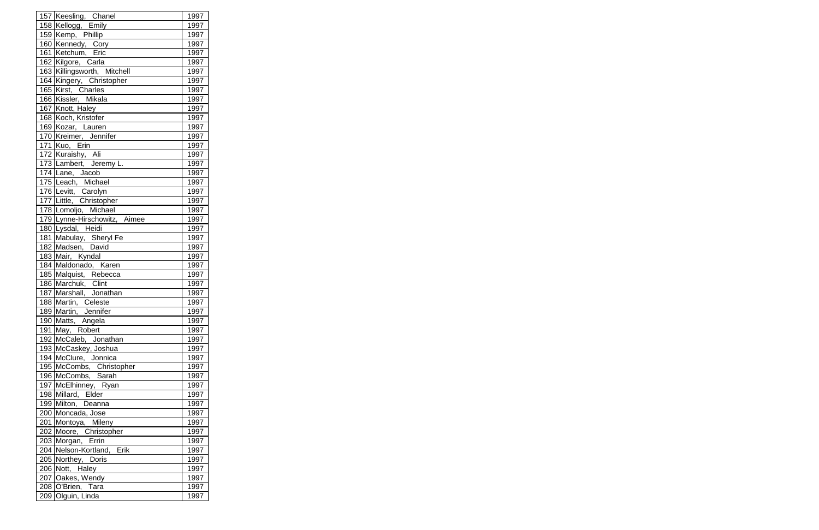| 157 Keesling, Chanel                        | 1997 |
|---------------------------------------------|------|
| 158 Kellogg, Emily                          | 1997 |
| 159 Kemp, Phillip                           | 1997 |
| 160 Kennedy, Cory                           | 1997 |
| 161 Ketchum, Eric                           | 1997 |
| 162 Kilgore, Carla                          | 1997 |
| 163 Killingsworth, Mitchell                 | 1997 |
| 164 Kingery, Christopher                    | 1997 |
| 165 Kirst, Charles                          | 1997 |
| 166 Kissler, Mikala                         | 1997 |
| 167 Knott, Haley                            | 1997 |
| 168 Koch, Kristofer                         | 1997 |
| 169 Kozar, Lauren                           | 1997 |
| 170 Kreimer, Jennifer                       | 1997 |
| 171 Kuo, Erin                               | 1997 |
| 172 Kuraishy, Ali                           | 1997 |
| 173 Lambert, Jeremy L.                      | 1997 |
| 174 Lane, Jacob                             | 1997 |
| 175 Leach, Michael                          | 1997 |
| 176 Levitt, Carolyn                         | 1997 |
| 177 Little, Christopher                     | 1997 |
| 178 Lomoljo, Michael                        | 1997 |
| 179 Lynne-Hirschowitz, Aimee                | 1997 |
| 180 Lysdal, Heidi                           | 1997 |
|                                             | 1997 |
| 181 Mabulay, Sheryl Fe<br>182 Madsen, David | 1997 |
| 183 Mair, Kyndal                            | 1997 |
| 184 Maldonado, Karen                        | 1997 |
| 185 Malquist, Rebecca                       | 1997 |
| 186 Marchuk, Clint                          | 1997 |
| 187 Marshall, Jonathan                      | 1997 |
| 188 Martin, Celeste                         | 1997 |
| 189 Martin, Jennifer                        | 1997 |
| 190 Matts, Angela                           | 1997 |
| 191 May, Robert                             | 1997 |
| 192 McCaleb, Jonathan                       | 1997 |
| 193 McCaskey, Joshua                        | 1997 |
| 194 McClure, Jonnica                        | 1997 |
| 195 McCombs, Christopher                    | 1997 |
| 196 McCombs, Sarah                          | 1997 |
| 197 McElhinney, Ryan                        | 1997 |
| 198 Millard, Elder                          | 1997 |
| 199 Milton, Deanna                          | 1997 |
| 200 Moncada, Jose                           | 1997 |
| 201 Montoya, Mileny                         | 1997 |
| 202 Moore, Christopher                      | 1997 |
| 203 Morgan, Errin                           | 1997 |
| 204 Nelson-Kortland, Erik                   | 1997 |
| 205 Northey, Doris                          | 1997 |
| 206 Nott, Haley                             | 1997 |
| 207 Oakes, Wendy                            | 1997 |
| 208 O'Brien, Tara                           | 1997 |
| 209 Olguin, Linda                           | 1997 |
|                                             |      |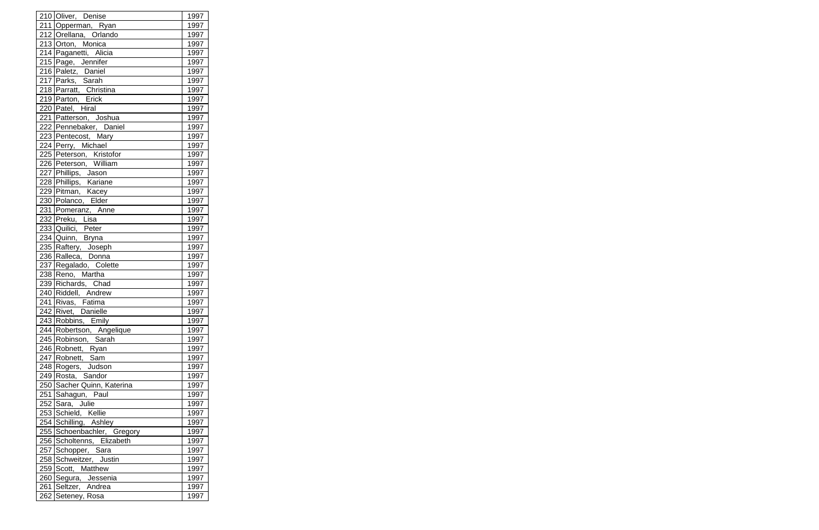| 210 Oliver, Denise         | 1997 |
|----------------------------|------|
| 211 Opperman, Ryan         | 1997 |
| 212 Orellana, Orlando      | 1997 |
| 213 Orton, Monica          | 1997 |
| 214 Paganetti, Alicia      | 1997 |
| 215 Page, Jennifer         | 1997 |
| 216 Paletz, Daniel         | 1997 |
| 217 Parks, Sarah           | 1997 |
| 218 Parratt, Christina     | 1997 |
| 219 Parton, Erick          | 1997 |
| 220 Patel, Hiral           | 1997 |
| 221 Patterson, Joshua      | 1997 |
| 222 Pennebaker, Daniel     | 1997 |
| 223 Pentecost, Mary        | 1997 |
| 224 Perry, Michael         | 1997 |
| 225 Peterson, Kristofor    | 1997 |
| 226 Peterson, William      | 1997 |
| 227 Phillips, Jason        | 1997 |
| 228 Phillips, Kariane      | 1997 |
| 229 Pitman, Kacey          | 1997 |
| 230 Polanco, Elder         | 1997 |
| 231 Pomeranz, Anne         | 1997 |
| 232 Preku, Lisa            | 1997 |
| 233 Quilici, Peter         | 1997 |
| 234 Quinn, Bryna           | 1997 |
| 235 Raftery, Joseph        | 1997 |
| 236 Ralleca, Donna         | 1997 |
| 237 Regalado, Colette      | 1997 |
| 238 Reno, Martha           | 1997 |
| 239 Richards, Chad         | 1997 |
| 240 Riddell, Andrew        | 1997 |
| 241 Rivas, Fatima          | 1997 |
| 242 Rivet, Danielle        | 1997 |
| 243 Robbins, Emily         | 1997 |
| 244 Robertson, Angelique   | 1997 |
| 245 Robinson, Sarah        | 1997 |
| 246 Robnett, Ryan          | 1997 |
| 247 Robnett, Sam           | 1997 |
| 248 Rogers, Judson         | 1997 |
| 249 Rosta, Sandor          | 1997 |
| 250 Sacher Quinn, Katerina | 1997 |
| 251 Sahagun, Paul          | 1997 |
| 252 Sara, Julie            | 1997 |
| 253 Schield, Kellie        | 1997 |
| 254 Schilling, Ashley      | 1997 |
| 255 Schoenbachler, Gregory | 1997 |
| 256 Scholtenns, Elizabeth  | 1997 |
| 257 Schopper, Sara         | 1997 |
| 258 Schweitzer, Justin     | 1997 |
| 259 Scott, Matthew         | 1997 |
| 260 Segura, Jessenia       | 1997 |
| 261 Seltzer, Andrea        | 1997 |
| 262 Seteney, Rosa          | 1997 |